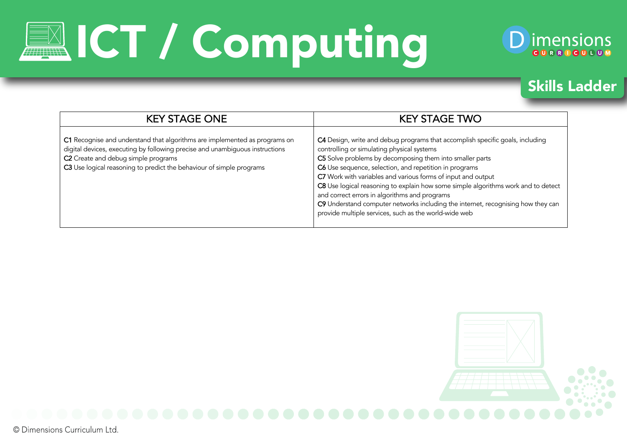# **EXICT / Computing**



#### Skills Ladder

| <b>KEY STAGE ONE</b>                                                                                                                                                                                                                                                      | <b>KEY STAGE TWO</b>                                                                                                                                                                                                                                                                                                                                                                                                                                                                                                                                                                                 |
|---------------------------------------------------------------------------------------------------------------------------------------------------------------------------------------------------------------------------------------------------------------------------|------------------------------------------------------------------------------------------------------------------------------------------------------------------------------------------------------------------------------------------------------------------------------------------------------------------------------------------------------------------------------------------------------------------------------------------------------------------------------------------------------------------------------------------------------------------------------------------------------|
| C1 Recognise and understand that algorithms are implemented as programs on<br>digital devices, executing by following precise and unambiguous instructions<br>C2 Create and debug simple programs<br>C3 Use logical reasoning to predict the behaviour of simple programs | C4 Design, write and debug programs that accomplish specific goals, including<br>controlling or simulating physical systems<br>C5 Solve problems by decomposing them into smaller parts<br>C6 Use sequence, selection, and repetition in programs<br>C7 Work with variables and various forms of input and output<br>C8 Use logical reasoning to explain how some simple algorithms work and to detect<br>and correct errors in algorithms and programs<br>C9 Understand computer networks including the internet, recognising how they can<br>provide multiple services, such as the world-wide web |

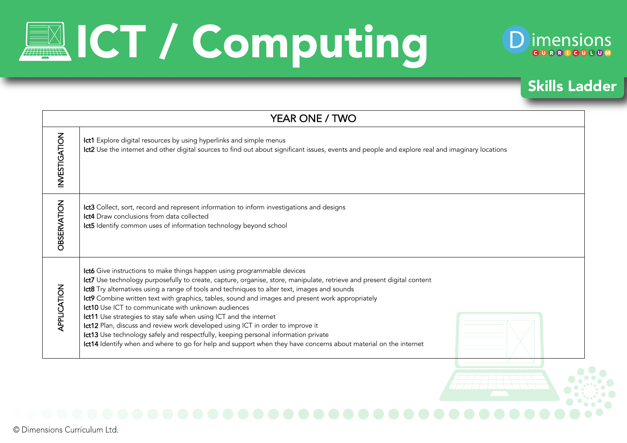# **EXT / Computing**



#### Skills Ladder

| YEAR ONE / TWO     |                                                                                                                                                                                                                                                                                                                                                                                                                                                                                                                                                                                                                                                                                                                                                                                                                              |  |
|--------------------|------------------------------------------------------------------------------------------------------------------------------------------------------------------------------------------------------------------------------------------------------------------------------------------------------------------------------------------------------------------------------------------------------------------------------------------------------------------------------------------------------------------------------------------------------------------------------------------------------------------------------------------------------------------------------------------------------------------------------------------------------------------------------------------------------------------------------|--|
| INVESTIGATION      | Ict1 Explore digital resources by using hyperlinks and simple menus<br>Ict2 Use the internet and other digital sources to find out about significant issues, events and people and explore real and imaginary locations                                                                                                                                                                                                                                                                                                                                                                                                                                                                                                                                                                                                      |  |
| <b>OBSERVATION</b> | Ict3 Collect, sort, record and represent information to inform investigations and designs<br><b>Ict4</b> Draw conclusions from data collected<br>Ict5 Identify common uses of information technology beyond school                                                                                                                                                                                                                                                                                                                                                                                                                                                                                                                                                                                                           |  |
| APPLICATION        | Ict6 Give instructions to make things happen using programmable devices<br>Ict7 Use technology purposefully to create, capture, organise, store, manipulate, retrieve and present digital content<br>Ict8 Try alternatives using a range of tools and techniques to alter text, images and sounds<br>Ict9 Combine written text with graphics, tables, sound and images and present work appropriately<br>Ict10 Use ICT to communicate with unknown audiences<br>Ict11 Use strategies to stay safe when using ICT and the internet<br>Ict12 Plan, discuss and review work developed using ICT in order to improve it<br>Ict13 Use technology safely and respectfully, keeping personal information private<br>Ict14 Identify when and where to go for help and support when they have concerns about material on the internet |  |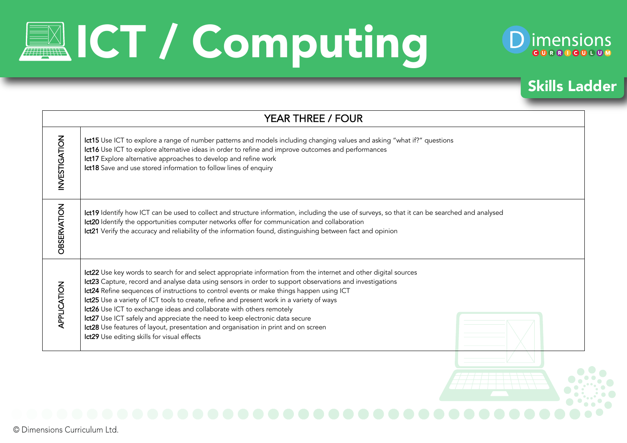# **EXT / Computing**



#### Skills Ladder

| INVESTIGATION<br>Ict15 Use ICT to explore a range of number patterns and models including changing values and asking "what if?" questions<br>Ict16 Use ICT to explore alternative ideas in order to refine and improve outcomes and performances<br>Ict17 Explore alternative approaches to develop and refine work<br>Ict18 Save and use stored information to follow lines of enquiry<br><b>OBSERVATION</b><br>Ict19 Identify how ICT can be used to collect and structure information, including the use of surveys, so that it can be searched and analysed<br>Ict20 Identify the opportunities computer networks offer for communication and collaboration<br>Ict21 Verify the accuracy and reliability of the information found, distinguishing between fact and opinion<br>Ict22 Use key words to search for and select appropriate information from the internet and other digital sources<br>Ict23 Capture, record and analyse data using sensors in order to support observations and investigations<br>Ict24 Refine sequences of instructions to control events or make things happen using ICT<br>Ict25 Use a variety of ICT tools to create, refine and present work in a variety of ways | YEAR THREE / FOUR                                                                   |  |  |
|--------------------------------------------------------------------------------------------------------------------------------------------------------------------------------------------------------------------------------------------------------------------------------------------------------------------------------------------------------------------------------------------------------------------------------------------------------------------------------------------------------------------------------------------------------------------------------------------------------------------------------------------------------------------------------------------------------------------------------------------------------------------------------------------------------------------------------------------------------------------------------------------------------------------------------------------------------------------------------------------------------------------------------------------------------------------------------------------------------------------------------------------------------------------------------------------------------|-------------------------------------------------------------------------------------|--|--|
|                                                                                                                                                                                                                                                                                                                                                                                                                                                                                                                                                                                                                                                                                                                                                                                                                                                                                                                                                                                                                                                                                                                                                                                                        |                                                                                     |  |  |
|                                                                                                                                                                                                                                                                                                                                                                                                                                                                                                                                                                                                                                                                                                                                                                                                                                                                                                                                                                                                                                                                                                                                                                                                        |                                                                                     |  |  |
| Ict27 Use ICT safely and appreciate the need to keep electronic data secure<br>Ict28 Use features of layout, presentation and organisation in print and on screen<br>Ict29 Use editing skills for visual effects                                                                                                                                                                                                                                                                                                                                                                                                                                                                                                                                                                                                                                                                                                                                                                                                                                                                                                                                                                                       | APPLICATION<br>Ict26 Use ICT to exchange ideas and collaborate with others remotely |  |  |